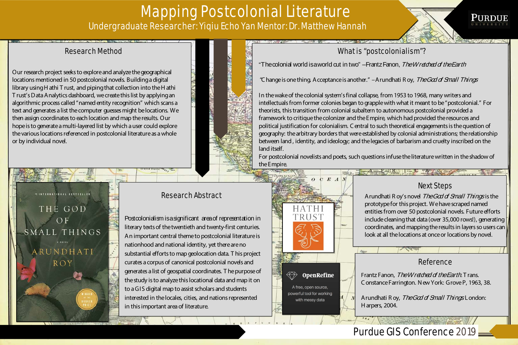# Mapping Postcolonial Literature Undergraduate Researcher: Yiqiu Echo Yan Mentor: Dr. Matthew Hannah

"The colonial world is a world cut in two" – Frantz Fanon, The Wretched of the Earth

"Change is one thing. Acceptance is another." -Arundhati R oy, The God of Small Things

### Research Abstract

Postcolonialism is a significant area of representation in literary texts of the twentieth and twenty-first centuries. An important central theme to postcolonial literature is nationhood and national identity, yet there are no substantial efforts to map geolocation data. T his project curates a corpus of canonical postcolonial novels and generates a list of geospatial coordinates. T he purpose of the study is to analyze this locational data and map it on to a GIS digital map to assist scholars and students interested in the locales, cities, and nations represented in this important area of literature.

#### Research Method

Our research project seeks to explore and analyze the geographical locations mentioned in 50 postcolonial novels. Building a digital library using H athi T rust, and piping that collection into the H athi T rust's Data Analytics dashboard, we create this list by applying an algorithmic process called "named entity recognition" which scans a text and generates a list the computer guesses might be locations. We then assign coordinates to each location and map the results. Our hope is to generate a multi-layered list by which a user could explore the various locations referenced in postcolonial literature as a whole or by individual novel.





Frantz Fanon, The Wretched of the Earth. Trans. C onstance Farrington. N ew York: Grove P, 1963, 38.

Arundhati R oy, The God of Small Things London: H arpers, 2004.

In the wake of the colonial system's final collapse, from 1953 to 1968, many writers and intellectuals from former colonies began to grapple with what it meant to be "postcolonial." For theorists, this transition from colonial subaltern to autonomous postcolonial provided a framework to critique the colonizer and the Empire, which had provided the resources and political justification for colonialism. C entral to such theoretical engagements is the question of geography: the arbitrary borders that were established by colonial administrations; the relationship between land , identity, and ideology; and the legacies of barbarism and cruelty inscribed on the land itself.

For postcolonial novelists and poets, such questions infuse the literature written in the shadow of the Empire.



 $C E A$ 

 $\Omega$ 





Next Steps

Arundhati R oy's novel The God of Small Things is the prototype for this project. We have scraped named entities from over 50 postcolonial novels. Future efforts include cleaning that data (over 35,000 rows!), generating coordinates, and mapping the results in layers so users can look at all the locations at once or locations by novel.

#### Reference

## Purdue GIS Conference 2019